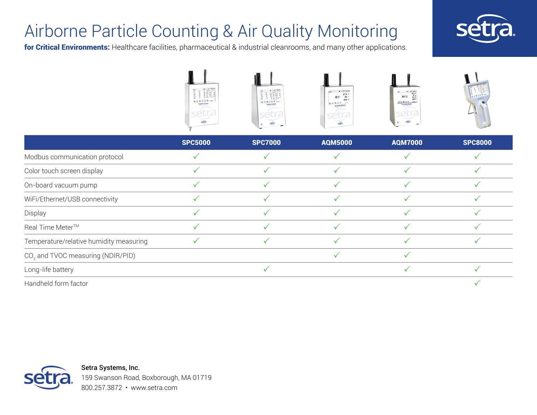### Airborne Particle Counting & Air Quality Monitoring

for Critical Environments: Healthcare facilities, pharmaceutical & industrial cleanrooms, and many other applications.





|                                         | <b>SPC5000</b> | <b>SPC7000</b> | <b>AQM5000</b> | <b>AQM7000</b> | <b>SPC8000</b> |
|-----------------------------------------|----------------|----------------|----------------|----------------|----------------|
| Modbus communication protocol           |                |                |                |                |                |
| Color touch screen display              |                |                |                |                |                |
| On-board vacuum pump                    |                |                |                |                |                |
| WiFi/Ethernet/USB connectivity          |                |                |                |                |                |
| Display                                 |                |                |                |                |                |
| Real Time Meter™                        |                |                |                |                |                |
| Temperature/relative humidity measuring |                |                |                |                |                |
| $CO2$ and TVOC measuring (NDIR/PID)     |                |                |                |                |                |
| Long-life battery                       |                |                |                |                |                |
| Handheld form factor                    |                |                |                |                |                |